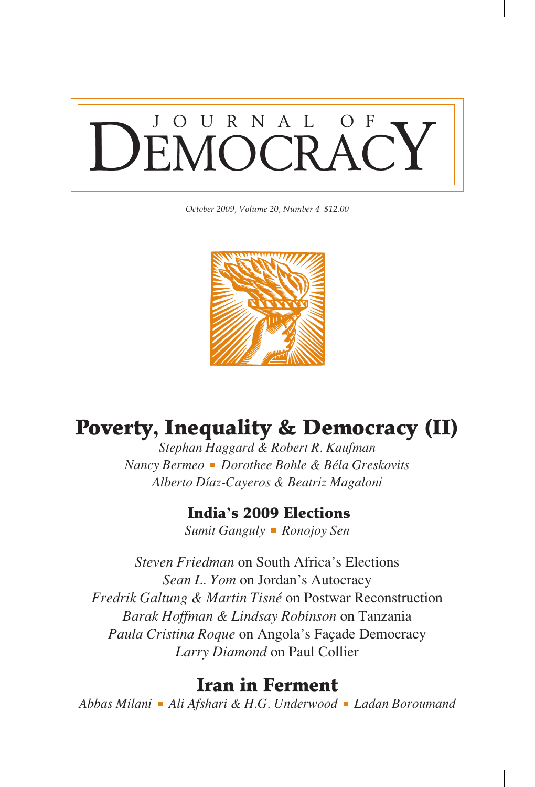# EMOCRACY

*October 2009, Volume 20, Number 4 \$12.00*



# Poverty**,** Inequality & Democracy (II)

*Stephan Haggard & Robert R. Kaufman Nancy Bermeo Dorothee Bohle & Béla Greskovits Alberto Díaz-Cayeros & Beatriz Magaloni*

## India**'**s 2009 Elections

*Sumit Ganguly Ronojoy Sen*

*Steven Friedman* on South Africa's Elections *Sean L. Yom* on Jordan's Autocracy *Fredrik Galtung & Martin Tisné* on Postwar Reconstruction *Barak Hoffman & Lindsay Robinson* on Tanzania *Paula Cristina Roque* on Angola's Façade Democracy *Larry Diamond* on Paul Collier

## Iran in Ferment

*Abbas Milani Ali Afshari & H.G. Underwood Ladan Boroumand*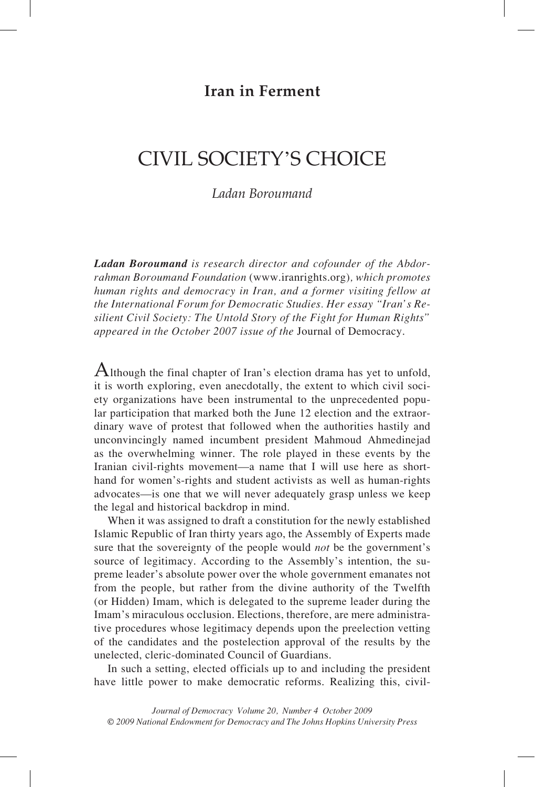## **Iran in Ferment**

# civil society'S CHOICE

### *Ladan Boroumand*

*Ladan Boroumand is research director and cofounder of the Abdorrahman Boroumand Foundation* (www.iranrights.org)*, which promotes human rights and democracy in Iran, and a former visiting fellow at the International Forum for Democratic Studies. Her essay "Iran's Resilient Civil Society: The Untold Story of the Fight for Human Rights" appeared in the October 2007 issue of the* Journal of Democracy.

Although the final chapter of Iran's election drama has yet to unfold, it is worth exploring, even anecdotally, the extent to which civil society organizations have been instrumental to the unprecedented popular participation that marked both the June 12 election and the extraordinary wave of protest that followed when the authorities hastily and unconvincingly named incumbent president Mahmoud Ahmedinejad as the overwhelming winner. The role played in these events by the Iranian civil-rights movement—a name that I will use here as shorthand for women's-rights and student activists as well as human-rights advocates—is one that we will never adequately grasp unless we keep the legal and historical backdrop in mind.

When it was assigned to draft a constitution for the newly established Islamic Republic of Iran thirty years ago, the Assembly of Experts made sure that the sovereignty of the people would *not* be the government's source of legitimacy. According to the Assembly's intention, the supreme leader's absolute power over the whole government emanates not from the people, but rather from the divine authority of the Twelfth (or Hidden) Imam, which is delegated to the supreme leader during the Imam's miraculous occlusion. Elections, therefore, are mere administrative procedures whose legitimacy depends upon the preelection vetting of the candidates and the postelection approval of the results by the unelected, cleric-dominated Council of Guardians.

In such a setting, elected officials up to and including the president have little power to make democratic reforms. Realizing this, civil-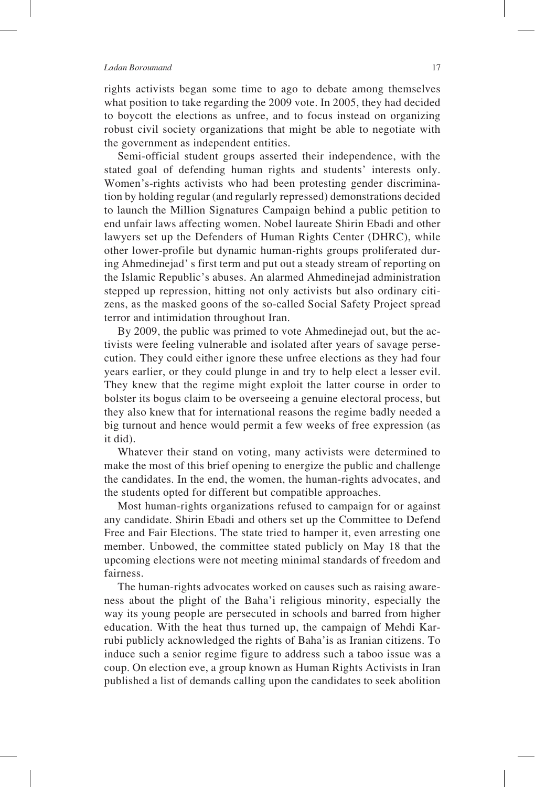#### *Ladan Boroumand* 17

rights activists began some time to ago to debate among themselves what position to take regarding the 2009 vote. In 2005, they had decided to boycott the elections as unfree, and to focus instead on organizing robust civil society organizations that might be able to negotiate with the government as independent entities.

Semi-official student groups asserted their independence, with the stated goal of defending human rights and students' interests only. Women's-rights activists who had been protesting gender discrimination by holding regular (and regularly repressed) demonstrations decided to launch the Million Signatures Campaign behind a public petition to end unfair laws affecting women. Nobel laureate Shirin Ebadi and other lawyers set up the Defenders of Human Rights Center (DHRC), while other lower-profile but dynamic human-rights groups proliferated during Ahmedinejad' s first term and put out a steady stream of reporting on the Islamic Republic's abuses. An alarmed Ahmedinejad administration stepped up repression, hitting not only activists but also ordinary citizens, as the masked goons of the so-called Social Safety Project spread terror and intimidation throughout Iran.

By 2009, the public was primed to vote Ahmedinejad out, but the activists were feeling vulnerable and isolated after years of savage persecution. They could either ignore these unfree elections as they had four years earlier, or they could plunge in and try to help elect a lesser evil. They knew that the regime might exploit the latter course in order to bolster its bogus claim to be overseeing a genuine electoral process, but they also knew that for international reasons the regime badly needed a big turnout and hence would permit a few weeks of free expression (as it did).

Whatever their stand on voting, many activists were determined to make the most of this brief opening to energize the public and challenge the candidates. In the end, the women, the human-rights advocates, and the students opted for different but compatible approaches.

Most human-rights organizations refused to campaign for or against any candidate. Shirin Ebadi and others set up the Committee to Defend Free and Fair Elections. The state tried to hamper it, even arresting one member. Unbowed, the committee stated publicly on May 18 that the upcoming elections were not meeting minimal standards of freedom and fairness.

The human-rights advocates worked on causes such as raising awareness about the plight of the Baha'i religious minority, especially the way its young people are persecuted in schools and barred from higher education. With the heat thus turned up, the campaign of Mehdi Karrubi publicly acknowledged the rights of Baha'is as Iranian citizens. To induce such a senior regime figure to address such a taboo issue was a coup. On election eve, a group known as Human Rights Activists in Iran published a list of demands calling upon the candidates to seek abolition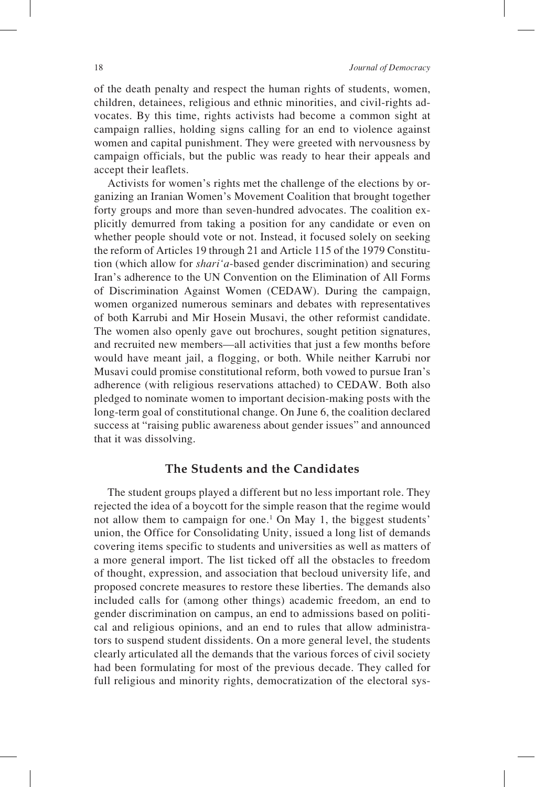of the death penalty and respect the human rights of students, women, children, detainees, religious and ethnic minorities, and civil-rights advocates. By this time, rights activists had become a common sight at campaign rallies, holding signs calling for an end to violence against women and capital punishment. They were greeted with nervousness by campaign officials, but the public was ready to hear their appeals and accept their leaflets.

Activists for women's rights met the challenge of the elections by organizing an Iranian Women's Movement Coalition that brought together forty groups and more than seven-hundred advocates. The coalition explicitly demurred from taking a position for any candidate or even on whether people should vote or not. Instead, it focused solely on seeking the reform of Articles 19 through 21 and Article 115 of the 1979 Constitution (which allow for *shari'a*-based gender discrimination) and securing Iran's adherence to the UN Convention on the Elimination of All Forms of Discrimination Against Women (CEDAW). During the campaign, women organized numerous seminars and debates with representatives of both Karrubi and Mir Hosein Musavi, the other reformist candidate. The women also openly gave out brochures, sought petition signatures, and recruited new members—all activities that just a few months before would have meant jail, a flogging, or both. While neither Karrubi nor Musavi could promise constitutional reform, both vowed to pursue Iran's adherence (with religious reservations attached) to CEDAW. Both also pledged to nominate women to important decision-making posts with the long-term goal of constitutional change. On June 6, the coalition declared success at "raising public awareness about gender issues" and announced that it was dissolving.

#### **The Students and the Candidates**

The student groups played a different but no less important role. They rejected the idea of a boycott for the simple reason that the regime would not allow them to campaign for one.<sup>1</sup> On May 1, the biggest students' union, the Office for Consolidating Unity, issued a long list of demands covering items specific to students and universities as well as matters of a more general import. The list ticked off all the obstacles to freedom of thought, expression, and association that becloud university life, and proposed concrete measures to restore these liberties. The demands also included calls for (among other things) academic freedom, an end to gender discrimination on campus, an end to admissions based on political and religious opinions, and an end to rules that allow administrators to suspend student dissidents. On a more general level, the students clearly articulated all the demands that the various forces of civil society had been formulating for most of the previous decade. They called for full religious and minority rights, democratization of the electoral sys-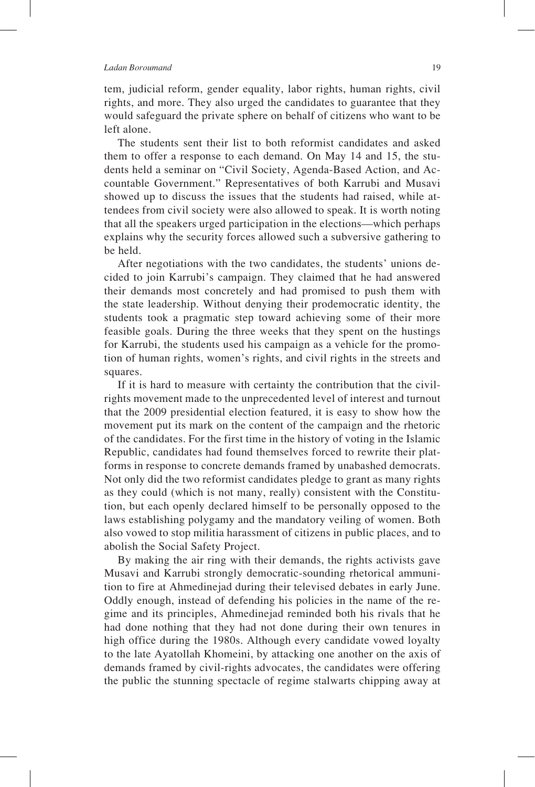#### *Ladan Boroumand* 19

tem, judicial reform, gender equality, labor rights, human rights, civil rights, and more. They also urged the candidates to guarantee that they would safeguard the private sphere on behalf of citizens who want to be left alone.

The students sent their list to both reformist candidates and asked them to offer a response to each demand. On May 14 and 15, the students held a seminar on "Civil Society, Agenda-Based Action, and Accountable Government." Representatives of both Karrubi and Musavi showed up to discuss the issues that the students had raised, while attendees from civil society were also allowed to speak. It is worth noting that all the speakers urged participation in the elections—which perhaps explains why the security forces allowed such a subversive gathering to be held.

After negotiations with the two candidates, the students' unions decided to join Karrubi's campaign. They claimed that he had answered their demands most concretely and had promised to push them with the state leadership. Without denying their prodemocratic identity, the students took a pragmatic step toward achieving some of their more feasible goals. During the three weeks that they spent on the hustings for Karrubi, the students used his campaign as a vehicle for the promotion of human rights, women's rights, and civil rights in the streets and squares.

If it is hard to measure with certainty the contribution that the civilrights movement made to the unprecedented level of interest and turnout that the 2009 presidential election featured, it is easy to show how the movement put its mark on the content of the campaign and the rhetoric of the candidates. For the first time in the history of voting in the Islamic Republic, candidates had found themselves forced to rewrite their platforms in response to concrete demands framed by unabashed democrats. Not only did the two reformist candidates pledge to grant as many rights as they could (which is not many, really) consistent with the Constitution, but each openly declared himself to be personally opposed to the laws establishing polygamy and the mandatory veiling of women. Both also vowed to stop militia harassment of citizens in public places, and to abolish the Social Safety Project.

By making the air ring with their demands, the rights activists gave Musavi and Karrubi strongly democratic-sounding rhetorical ammunition to fire at Ahmedinejad during their televised debates in early June. Oddly enough, instead of defending his policies in the name of the regime and its principles, Ahmedinejad reminded both his rivals that he had done nothing that they had not done during their own tenures in high office during the 1980s. Although every candidate vowed loyalty to the late Ayatollah Khomeini, by attacking one another on the axis of demands framed by civil-rights advocates, the candidates were offering the public the stunning spectacle of regime stalwarts chipping away at